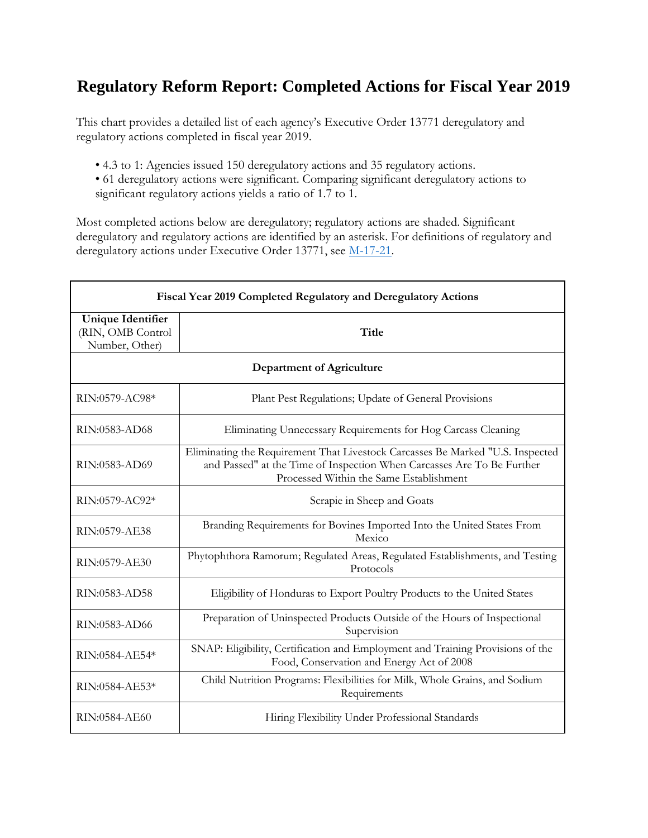## **Regulatory Reform Report: Completed Actions for Fiscal Year 2019**

This chart provides a detailed list of each agency's Executive Order 13771 deregulatory and regulatory actions completed in fiscal year 2019.

- 4.3 to 1: Agencies issued 150 deregulatory actions and 35 regulatory actions.
- 61 deregulatory actions were significant. Comparing significant deregulatory actions to significant regulatory actions yields a ratio of 1.7 to 1.

Most completed actions below are deregulatory; regulatory actions are shaded. Significant deregulatory and regulatory actions are identified by an asterisk. For definitions of regulatory and deregulatory actions under Executive Order 13771, see [M-17-21.](https://www.whitehouse.gov/sites/whitehouse.gov/files/omb/memoranda/2017/M-17-21-OMB.pdf)

| Fiscal Year 2019 Completed Regulatory and Deregulatory Actions  |                                                                                                                                                                                                     |  |
|-----------------------------------------------------------------|-----------------------------------------------------------------------------------------------------------------------------------------------------------------------------------------------------|--|
| <b>Unique Identifier</b><br>(RIN, OMB Control<br>Number, Other) | Title                                                                                                                                                                                               |  |
| <b>Department of Agriculture</b>                                |                                                                                                                                                                                                     |  |
| RIN:0579-AC98*                                                  | Plant Pest Regulations; Update of General Provisions                                                                                                                                                |  |
| RIN:0583-AD68                                                   | Eliminating Unnecessary Requirements for Hog Carcass Cleaning                                                                                                                                       |  |
| RIN:0583-AD69                                                   | Eliminating the Requirement That Livestock Carcasses Be Marked "U.S. Inspected<br>and Passed" at the Time of Inspection When Carcasses Are To Be Further<br>Processed Within the Same Establishment |  |
| RIN:0579-AC92*                                                  | Scrapie in Sheep and Goats                                                                                                                                                                          |  |
| RIN:0579-AE38                                                   | Branding Requirements for Bovines Imported Into the United States From<br>Mexico                                                                                                                    |  |
| RIN:0579-AE30                                                   | Phytophthora Ramorum; Regulated Areas, Regulated Establishments, and Testing<br>Protocols                                                                                                           |  |
| RIN:0583-AD58                                                   | Eligibility of Honduras to Export Poultry Products to the United States                                                                                                                             |  |
| RIN:0583-AD66                                                   | Preparation of Uninspected Products Outside of the Hours of Inspectional<br>Supervision                                                                                                             |  |
| RIN:0584-AE54*                                                  | SNAP: Eligibility, Certification and Employment and Training Provisions of the<br>Food, Conservation and Energy Act of 2008                                                                         |  |
| RIN:0584-AE53*                                                  | Child Nutrition Programs: Flexibilities for Milk, Whole Grains, and Sodium<br>Requirements                                                                                                          |  |
| RIN:0584-AE60                                                   | Hiring Flexibility Under Professional Standards                                                                                                                                                     |  |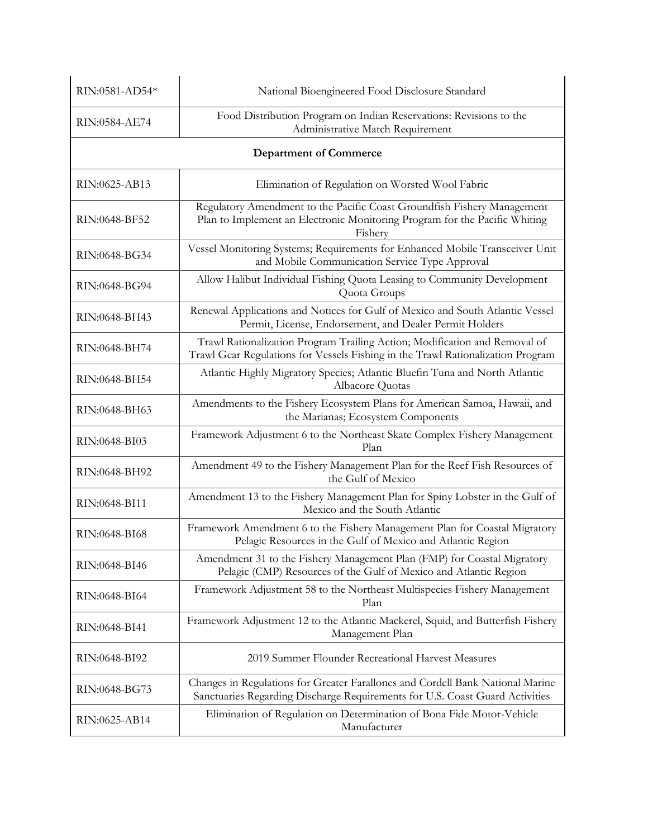| RIN:0581-AD54* | National Bioengineered Food Disclosure Standard                                                                                                                  |
|----------------|------------------------------------------------------------------------------------------------------------------------------------------------------------------|
| RIN:0584-AE74  | Food Distribution Program on Indian Reservations: Revisions to the<br>Administrative Match Requirement                                                           |
|                | <b>Department of Commerce</b>                                                                                                                                    |
| RIN:0625-AB13  | Elimination of Regulation on Worsted Wool Fabric                                                                                                                 |
| RIN:0648-BF52  | Regulatory Amendment to the Pacific Coast Groundfish Fishery Management<br>Plan to Implement an Electronic Monitoring Program for the Pacific Whiting<br>Fishery |
| RIN:0648-BG34  | Vessel Monitoring Systems; Requirements for Enhanced Mobile Transceiver Unit<br>and Mobile Communication Service Type Approval                                   |
| RIN:0648-BG94  | Allow Halibut Individual Fishing Quota Leasing to Community Development<br>Quota Groups                                                                          |
| RIN:0648-BH43  | Renewal Applications and Notices for Gulf of Mexico and South Atlantic Vessel<br>Permit, License, Endorsement, and Dealer Permit Holders                         |
| RIN:0648-BH74  | Trawl Rationalization Program Trailing Action; Modification and Removal of<br>Trawl Gear Regulations for Vessels Fishing in the Trawl Rationalization Program    |
| RIN:0648-BH54  | Atlantic Highly Migratory Species; Atlantic Bluefin Tuna and North Atlantic<br>Albacore Quotas                                                                   |
| RIN:0648-BH63  | Amendments to the Fishery Ecosystem Plans for American Samoa, Hawaii, and<br>the Marianas; Ecosystem Components                                                  |
| RIN:0648-BI03  | Framework Adjustment 6 to the Northeast Skate Complex Fishery Management<br>Plan                                                                                 |
| RIN:0648-BH92  | Amendment 49 to the Fishery Management Plan for the Reef Fish Resources of<br>the Gulf of Mexico                                                                 |
| RIN:0648-BI11  | Amendment 13 to the Fishery Management Plan for Spiny Lobster in the Gulf of<br>Mexico and the South Atlantic                                                    |
| RIN:0648-BI68  | Framework Amendment 6 to the Fishery Management Plan for Coastal Migratory<br>Pelagic Resources in the Gulf of Mexico and Atlantic Region                        |
| RIN:0648-BI46  | Amendment 31 to the Fishery Management Plan (FMP) for Coastal Migratory<br>Pelagic (CMP) Resources of the Gulf of Mexico and Atlantic Region                     |
| RIN:0648-BI64  | Framework Adjustment 58 to the Northeast Multispecies Fishery Management<br>Plan                                                                                 |
| RIN:0648-BI41  | Framework Adjustment 12 to the Atlantic Mackerel, Squid, and Butterfish Fishery<br>Management Plan                                                               |
| RIN:0648-BI92  | 2019 Summer Flounder Recreational Harvest Measures                                                                                                               |
| RIN:0648-BG73  | Changes in Regulations for Greater Farallones and Cordell Bank National Marine<br>Sanctuaries Regarding Discharge Requirements for U.S. Coast Guard Activities   |
| RIN:0625-AB14  | Elimination of Regulation on Determination of Bona Fide Motor-Vehicle<br>Manufacturer                                                                            |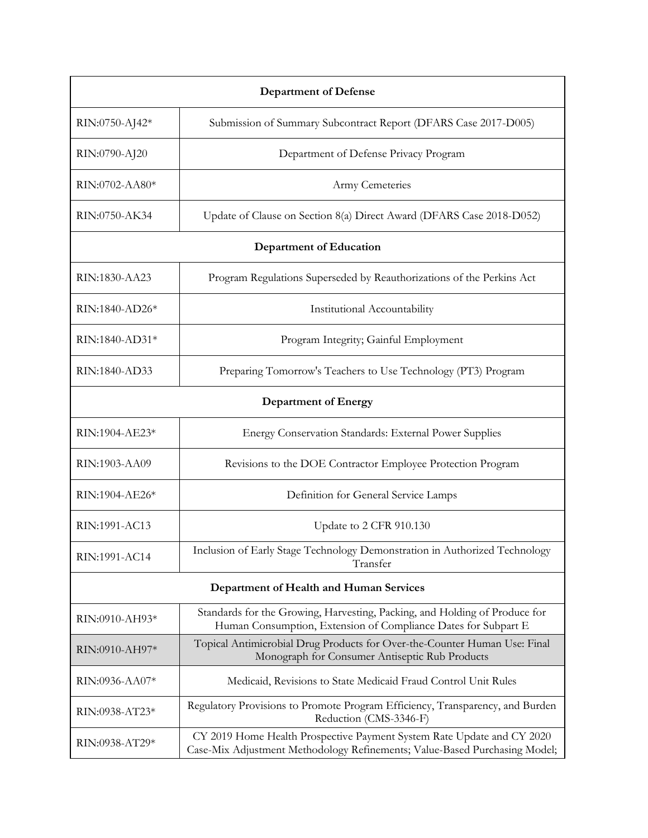| <b>Department of Defense</b>            |                                                                                                                                                      |  |
|-----------------------------------------|------------------------------------------------------------------------------------------------------------------------------------------------------|--|
| RIN:0750-AJ42*                          | Submission of Summary Subcontract Report (DFARS Case 2017-D005)                                                                                      |  |
| RIN:0790-AJ20                           | Department of Defense Privacy Program                                                                                                                |  |
| RIN:0702-AA80*                          | Army Cemeteries                                                                                                                                      |  |
| RIN:0750-AK34                           | Update of Clause on Section 8(a) Direct Award (DFARS Case 2018-D052)                                                                                 |  |
| <b>Department of Education</b>          |                                                                                                                                                      |  |
| RIN:1830-AA23                           | Program Regulations Superseded by Reauthorizations of the Perkins Act                                                                                |  |
| RIN:1840-AD26*                          | Institutional Accountability                                                                                                                         |  |
| RIN:1840-AD31*                          | Program Integrity; Gainful Employment                                                                                                                |  |
| RIN:1840-AD33                           | Preparing Tomorrow's Teachers to Use Technology (PT3) Program                                                                                        |  |
| <b>Department of Energy</b>             |                                                                                                                                                      |  |
| RIN:1904-AE23*                          | Energy Conservation Standards: External Power Supplies                                                                                               |  |
| RIN:1903-AA09                           | Revisions to the DOE Contractor Employee Protection Program                                                                                          |  |
| RIN:1904-AE26*                          | Definition for General Service Lamps                                                                                                                 |  |
| RIN:1991-AC13                           | Update to 2 CFR 910.130                                                                                                                              |  |
| RIN:1991-AC14                           | Inclusion of Early Stage Technology Demonstration in Authorized Technology<br>Transfer                                                               |  |
| Department of Health and Human Services |                                                                                                                                                      |  |
| RIN:0910-AH93*                          | Standards for the Growing, Harvesting, Packing, and Holding of Produce for<br>Human Consumption, Extension of Compliance Dates for Subpart E         |  |
| RIN:0910-AH97*                          | Topical Antimicrobial Drug Products for Over-the-Counter Human Use: Final<br>Monograph for Consumer Antiseptic Rub Products                          |  |
| RIN:0936-AA07*                          | Medicaid, Revisions to State Medicaid Fraud Control Unit Rules                                                                                       |  |
| RIN:0938-AT23*                          | Regulatory Provisions to Promote Program Efficiency, Transparency, and Burden<br>Reduction (CMS-3346-F)                                              |  |
| RIN:0938-AT29*                          | CY 2019 Home Health Prospective Payment System Rate Update and CY 2020<br>Case-Mix Adjustment Methodology Refinements; Value-Based Purchasing Model; |  |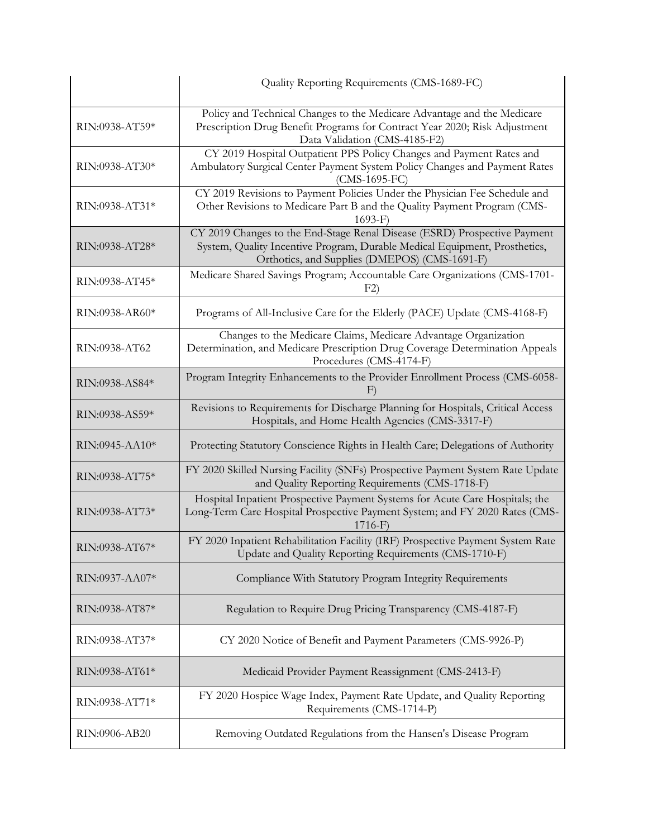|                | Quality Reporting Requirements (CMS-1689-FC)                                                                                                                                                             |
|----------------|----------------------------------------------------------------------------------------------------------------------------------------------------------------------------------------------------------|
| RIN:0938-AT59* | Policy and Technical Changes to the Medicare Advantage and the Medicare<br>Prescription Drug Benefit Programs for Contract Year 2020; Risk Adjustment<br>Data Validation (CMS-4185-F2)                   |
| RIN:0938-AT30* | CY 2019 Hospital Outpatient PPS Policy Changes and Payment Rates and<br>Ambulatory Surgical Center Payment System Policy Changes and Payment Rates<br>$(CMS-1695-FC)$                                    |
| RIN:0938-AT31* | CY 2019 Revisions to Payment Policies Under the Physician Fee Schedule and<br>Other Revisions to Medicare Part B and the Quality Payment Program (CMS-<br>$1693-F$                                       |
| RIN:0938-AT28* | CY 2019 Changes to the End-Stage Renal Disease (ESRD) Prospective Payment<br>System, Quality Incentive Program, Durable Medical Equipment, Prosthetics,<br>Orthotics, and Supplies (DMEPOS) (CMS-1691-F) |
| RIN:0938-AT45* | Medicare Shared Savings Program; Accountable Care Organizations (CMS-1701-<br>F2)                                                                                                                        |
| RIN:0938-AR60* | Programs of All-Inclusive Care for the Elderly (PACE) Update (CMS-4168-F)                                                                                                                                |
| RIN:0938-AT62  | Changes to the Medicare Claims, Medicare Advantage Organization<br>Determination, and Medicare Prescription Drug Coverage Determination Appeals<br>Procedures (CMS-4174-F)                               |
| RIN:0938-AS84* | Program Integrity Enhancements to the Provider Enrollment Process (CMS-6058-<br>F)                                                                                                                       |
| RIN:0938-AS59* | Revisions to Requirements for Discharge Planning for Hospitals, Critical Access<br>Hospitals, and Home Health Agencies (CMS-3317-F)                                                                      |
| RIN:0945-AA10* | Protecting Statutory Conscience Rights in Health Care; Delegations of Authority                                                                                                                          |
| RIN:0938-AT75* | FY 2020 Skilled Nursing Facility (SNFs) Prospective Payment System Rate Update<br>and Quality Reporting Requirements (CMS-1718-F)                                                                        |
| RIN:0938-AT73* | Hospital Inpatient Prospective Payment Systems for Acute Care Hospitals; the<br>Long-Term Care Hospital Prospective Payment System; and FY 2020 Rates (CMS-<br>$1716-F$                                  |
| RIN:0938-AT67* | FY 2020 Inpatient Rehabilitation Facility (IRF) Prospective Payment System Rate<br>Update and Quality Reporting Requirements (CMS-1710-F)                                                                |
| RIN:0937-AA07* | Compliance With Statutory Program Integrity Requirements                                                                                                                                                 |
| RIN:0938-AT87* | Regulation to Require Drug Pricing Transparency (CMS-4187-F)                                                                                                                                             |
| RIN:0938-AT37* | CY 2020 Notice of Benefit and Payment Parameters (CMS-9926-P)                                                                                                                                            |
| RIN:0938-AT61* | Medicaid Provider Payment Reassignment (CMS-2413-F)                                                                                                                                                      |
| RIN:0938-AT71* | FY 2020 Hospice Wage Index, Payment Rate Update, and Quality Reporting<br>Requirements (CMS-1714-P)                                                                                                      |
| RIN:0906-AB20  | Removing Outdated Regulations from the Hansen's Disease Program                                                                                                                                          |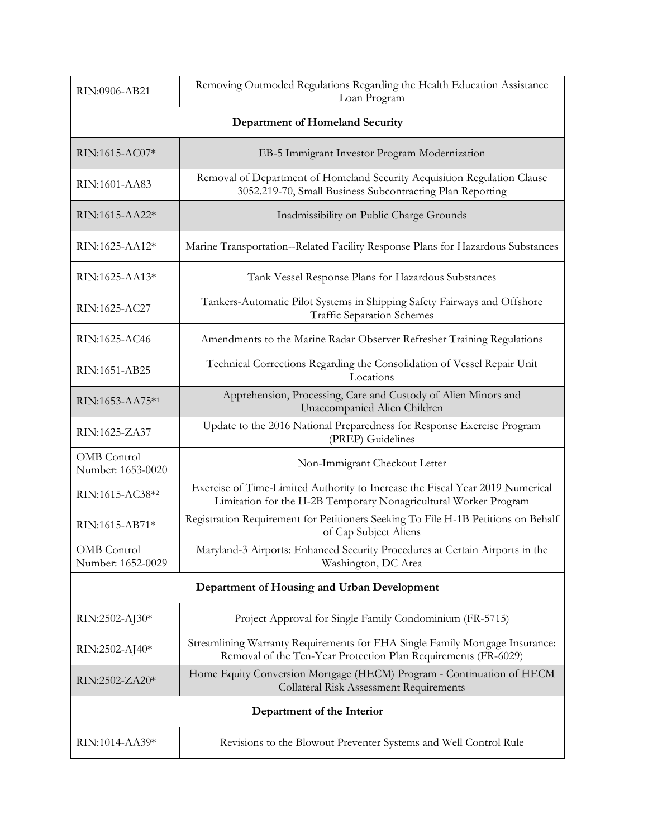| RIN:0906-AB21                               | Removing Outmoded Regulations Regarding the Health Education Assistance<br>Loan Program                                                           |  |
|---------------------------------------------|---------------------------------------------------------------------------------------------------------------------------------------------------|--|
| <b>Department of Homeland Security</b>      |                                                                                                                                                   |  |
| RIN:1615-AC07*                              | EB-5 Immigrant Investor Program Modernization                                                                                                     |  |
| RIN:1601-AA83                               | Removal of Department of Homeland Security Acquisition Regulation Clause<br>3052.219-70, Small Business Subcontracting Plan Reporting             |  |
| RIN:1615-AA22*                              | Inadmissibility on Public Charge Grounds                                                                                                          |  |
| RIN:1625-AA12*                              | Marine Transportation--Related Facility Response Plans for Hazardous Substances                                                                   |  |
| RIN:1625-AA13*                              | Tank Vessel Response Plans for Hazardous Substances                                                                                               |  |
| RIN:1625-AC27                               | Tankers-Automatic Pilot Systems in Shipping Safety Fairways and Offshore<br><b>Traffic Separation Schemes</b>                                     |  |
| RIN:1625-AC46                               | Amendments to the Marine Radar Observer Refresher Training Regulations                                                                            |  |
| RIN:1651-AB25                               | Technical Corrections Regarding the Consolidation of Vessel Repair Unit<br>Locations                                                              |  |
| RIN:1653-AA75*1                             | Apprehension, Processing, Care and Custody of Alien Minors and<br>Unaccompanied Alien Children                                                    |  |
| RIN:1625-ZA37                               | Update to the 2016 National Preparedness for Response Exercise Program<br>(PREP) Guidelines                                                       |  |
| <b>OMB</b> Control<br>Number: 1653-0020     | Non-Immigrant Checkout Letter                                                                                                                     |  |
| RIN:1615-AC38*2                             | Exercise of Time-Limited Authority to Increase the Fiscal Year 2019 Numerical<br>Limitation for the H-2B Temporary Nonagricultural Worker Program |  |
| RIN:1615-AB71*                              | Registration Requirement for Petitioners Seeking To File H-1B Petitions on Behalf<br>of Cap Subject Aliens                                        |  |
| OMB Control<br>Number: 1652-0029            | Maryland-3 Airports: Enhanced Security Procedures at Certain Airports in the<br>Washington, DC Area                                               |  |
| Department of Housing and Urban Development |                                                                                                                                                   |  |
| RIN:2502-AJ30*                              | Project Approval for Single Family Condominium (FR-5715)                                                                                          |  |
| RIN:2502-AJ40*                              | Streamlining Warranty Requirements for FHA Single Family Mortgage Insurance:<br>Removal of the Ten-Year Protection Plan Requirements (FR-6029)    |  |
| RIN:2502-ZA20*                              | Home Equity Conversion Mortgage (HECM) Program - Continuation of HECM<br><b>Collateral Risk Assessment Requirements</b>                           |  |
|                                             | Department of the Interior                                                                                                                        |  |
| RIN:1014-AA39*                              | Revisions to the Blowout Preventer Systems and Well Control Rule                                                                                  |  |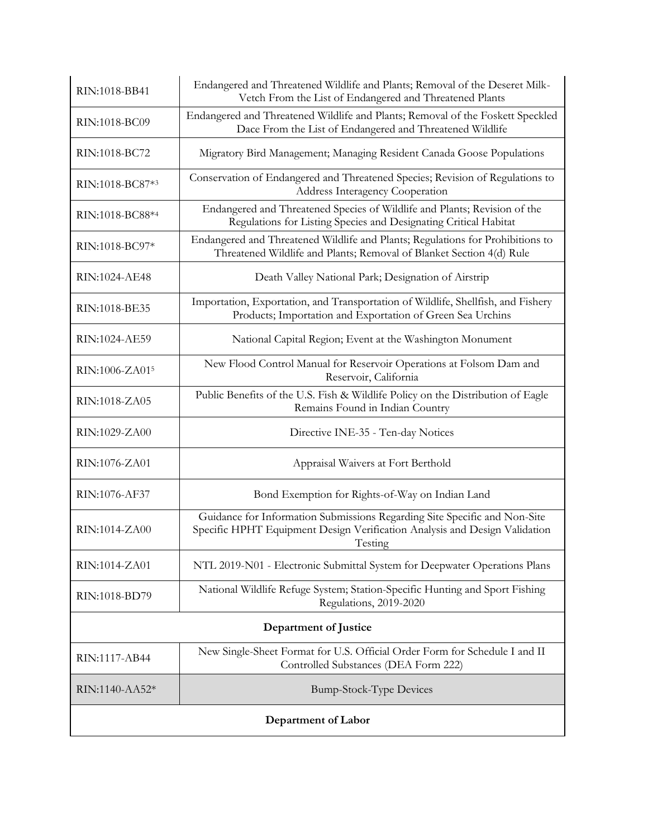| RIN:1018-BB41       | Endangered and Threatened Wildlife and Plants; Removal of the Deseret Milk-<br>Vetch From the List of Endangered and Threatened Plants                             |  |
|---------------------|--------------------------------------------------------------------------------------------------------------------------------------------------------------------|--|
| RIN:1018-BC09       | Endangered and Threatened Wildlife and Plants; Removal of the Foskett Speckled<br>Dace From the List of Endangered and Threatened Wildlife                         |  |
| RIN:1018-BC72       | Migratory Bird Management; Managing Resident Canada Goose Populations                                                                                              |  |
| RIN:1018-BC87*3     | Conservation of Endangered and Threatened Species; Revision of Regulations to<br>Address Interagency Cooperation                                                   |  |
| RIN:1018-BC88*4     | Endangered and Threatened Species of Wildlife and Plants; Revision of the<br>Regulations for Listing Species and Designating Critical Habitat                      |  |
| RIN:1018-BC97*      | Endangered and Threatened Wildlife and Plants; Regulations for Prohibitions to<br>Threatened Wildlife and Plants; Removal of Blanket Section 4(d) Rule             |  |
| RIN:1024-AE48       | Death Valley National Park; Designation of Airstrip                                                                                                                |  |
| RIN:1018-BE35       | Importation, Exportation, and Transportation of Wildlife, Shellfish, and Fishery<br>Products; Importation and Exportation of Green Sea Urchins                     |  |
| RIN:1024-AE59       | National Capital Region; Event at the Washington Monument                                                                                                          |  |
| RIN:1006-ZA015      | New Flood Control Manual for Reservoir Operations at Folsom Dam and<br>Reservoir, California                                                                       |  |
| RIN:1018-ZA05       | Public Benefits of the U.S. Fish & Wildlife Policy on the Distribution of Eagle<br>Remains Found in Indian Country                                                 |  |
| RIN:1029-ZA00       | Directive INE-35 - Ten-day Notices                                                                                                                                 |  |
| RIN:1076-ZA01       | Appraisal Waivers at Fort Berthold                                                                                                                                 |  |
| RIN:1076-AF37       | Bond Exemption for Rights-of-Way on Indian Land                                                                                                                    |  |
| RIN:1014-ZA00       | Guidance for Information Submissions Regarding Site Specific and Non-Site<br>Specific HPHT Equipment Design Verification Analysis and Design Validation<br>Testing |  |
| RIN:1014-ZA01       | NTL 2019-N01 - Electronic Submittal System for Deepwater Operations Plans                                                                                          |  |
| RIN:1018-BD79       | National Wildlife Refuge System; Station-Specific Hunting and Sport Fishing<br>Regulations, 2019-2020                                                              |  |
|                     | Department of Justice                                                                                                                                              |  |
| RIN:1117-AB44       | New Single-Sheet Format for U.S. Official Order Form for Schedule I and II<br>Controlled Substances (DEA Form 222)                                                 |  |
| RIN:1140-AA52*      | <b>Bump-Stock-Type Devices</b>                                                                                                                                     |  |
| Department of Labor |                                                                                                                                                                    |  |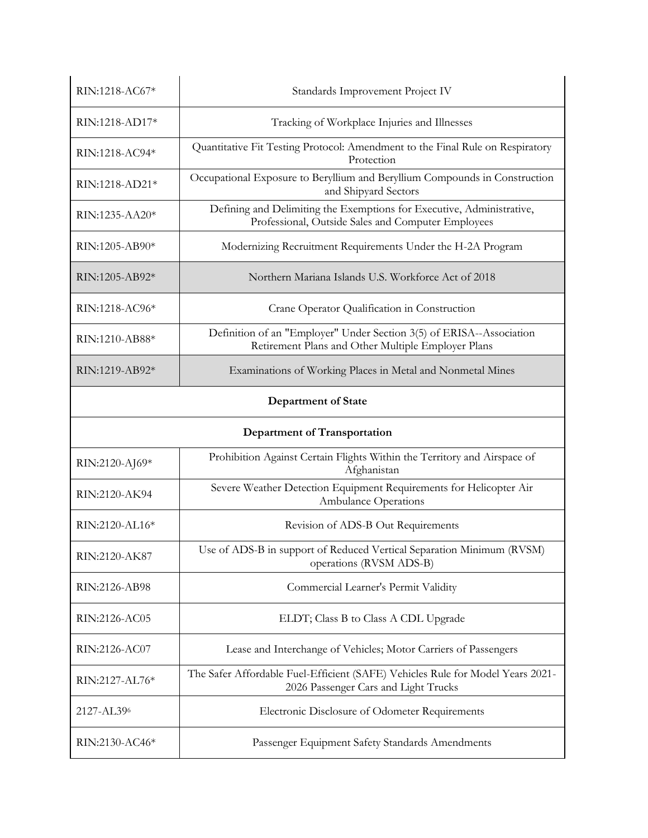| RIN:1218-AC67*             | Standards Improvement Project IV                                                                                            |
|----------------------------|-----------------------------------------------------------------------------------------------------------------------------|
| RIN:1218-AD17*             | Tracking of Workplace Injuries and Illnesses                                                                                |
| RIN:1218-AC94*             | Quantitative Fit Testing Protocol: Amendment to the Final Rule on Respiratory<br>Protection                                 |
| RIN:1218-AD21*             | Occupational Exposure to Beryllium and Beryllium Compounds in Construction<br>and Shipyard Sectors                          |
| RIN:1235-AA20*             | Defining and Delimiting the Exemptions for Executive, Administrative,<br>Professional, Outside Sales and Computer Employees |
| RIN:1205-AB90*             | Modernizing Recruitment Requirements Under the H-2A Program                                                                 |
| RIN:1205-AB92*             | Northern Mariana Islands U.S. Workforce Act of 2018                                                                         |
| RIN:1218-AC96*             | Crane Operator Qualification in Construction                                                                                |
| RIN:1210-AB88*             | Definition of an "Employer" Under Section 3(5) of ERISA--Association<br>Retirement Plans and Other Multiple Employer Plans  |
| RIN:1219-AB92*             | Examinations of Working Places in Metal and Nonmetal Mines                                                                  |
| <b>Department of State</b> |                                                                                                                             |
|                            |                                                                                                                             |
|                            | Department of Transportation                                                                                                |
| RIN:2120-AJ69*             | Prohibition Against Certain Flights Within the Territory and Airspace of<br>Afghanistan                                     |
| RIN:2120-AK94              | Severe Weather Detection Equipment Requirements for Helicopter Air<br><b>Ambulance Operations</b>                           |
| RIN:2120-AL16*             | Revision of ADS-B Out Requirements                                                                                          |
| RIN:2120-AK87              | Use of ADS-B in support of Reduced Vertical Separation Minimum (RVSM)<br>operations (RVSM ADS-B)                            |
| RIN:2126-AB98              | Commercial Learner's Permit Validity                                                                                        |
| RIN:2126-AC05              | ELDT; Class B to Class A CDL Upgrade                                                                                        |
| RIN:2126-AC07              | Lease and Interchange of Vehicles; Motor Carriers of Passengers                                                             |
| RIN:2127-AL76*             | The Safer Affordable Fuel-Efficient (SAFE) Vehicles Rule for Model Years 2021-<br>2026 Passenger Cars and Light Trucks      |
| 2127-AL396                 | Electronic Disclosure of Odometer Requirements                                                                              |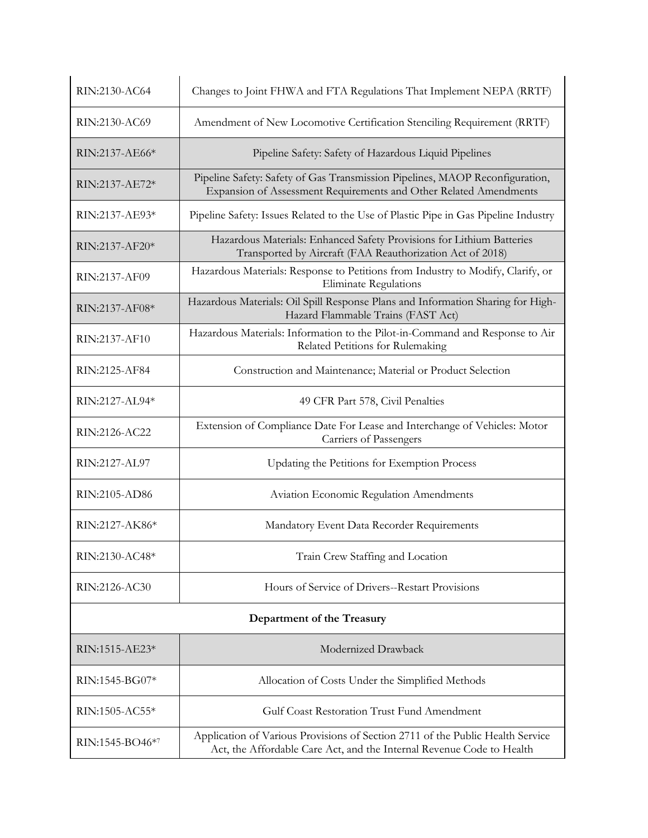| RIN:2130-AC64    | Changes to Joint FHWA and FTA Regulations That Implement NEPA (RRTF)                                                                                    |
|------------------|---------------------------------------------------------------------------------------------------------------------------------------------------------|
| RIN:2130-AC69    | Amendment of New Locomotive Certification Stenciling Requirement (RRTF)                                                                                 |
| $RIN:2137-AE66*$ | Pipeline Safety: Safety of Hazardous Liquid Pipelines                                                                                                   |
| RIN:2137-AE72*   | Pipeline Safety: Safety of Gas Transmission Pipelines, MAOP Reconfiguration,<br>Expansion of Assessment Requirements and Other Related Amendments       |
| RIN:2137-AE93*   | Pipeline Safety: Issues Related to the Use of Plastic Pipe in Gas Pipeline Industry                                                                     |
| RIN:2137-AF20*   | Hazardous Materials: Enhanced Safety Provisions for Lithium Batteries<br>Transported by Aircraft (FAA Reauthorization Act of 2018)                      |
| RIN:2137-AF09    | Hazardous Materials: Response to Petitions from Industry to Modify, Clarify, or<br><b>Eliminate Regulations</b>                                         |
| RIN:2137-AF08*   | Hazardous Materials: Oil Spill Response Plans and Information Sharing for High-<br>Hazard Flammable Trains (FAST Act)                                   |
| RIN:2137-AF10    | Hazardous Materials: Information to the Pilot-in-Command and Response to Air<br>Related Petitions for Rulemaking                                        |
| RIN:2125-AF84    | Construction and Maintenance; Material or Product Selection                                                                                             |
| RIN:2127-AL94*   | 49 CFR Part 578, Civil Penalties                                                                                                                        |
| RIN:2126-AC22    | Extension of Compliance Date For Lease and Interchange of Vehicles: Motor<br>Carriers of Passengers                                                     |
| RIN:2127-AL97    | Updating the Petitions for Exemption Process                                                                                                            |
| RIN:2105-AD86    | <b>Aviation Economic Regulation Amendments</b>                                                                                                          |
| RIN:2127-AK86*   | Mandatory Event Data Recorder Requirements                                                                                                              |
| RIN:2130-AC48*   | Train Crew Staffing and Location                                                                                                                        |
| RIN:2126-AC30    | Hours of Service of Drivers--Restart Provisions                                                                                                         |
|                  | Department of the Treasury                                                                                                                              |
| RIN:1515-AE23*   | Modernized Drawback                                                                                                                                     |
| RIN:1545-BG07*   | Allocation of Costs Under the Simplified Methods                                                                                                        |
| RIN:1505-AC55*   | Gulf Coast Restoration Trust Fund Amendment                                                                                                             |
| RIN:1545-BO46*7  | Application of Various Provisions of Section 2711 of the Public Health Service<br>Act, the Affordable Care Act, and the Internal Revenue Code to Health |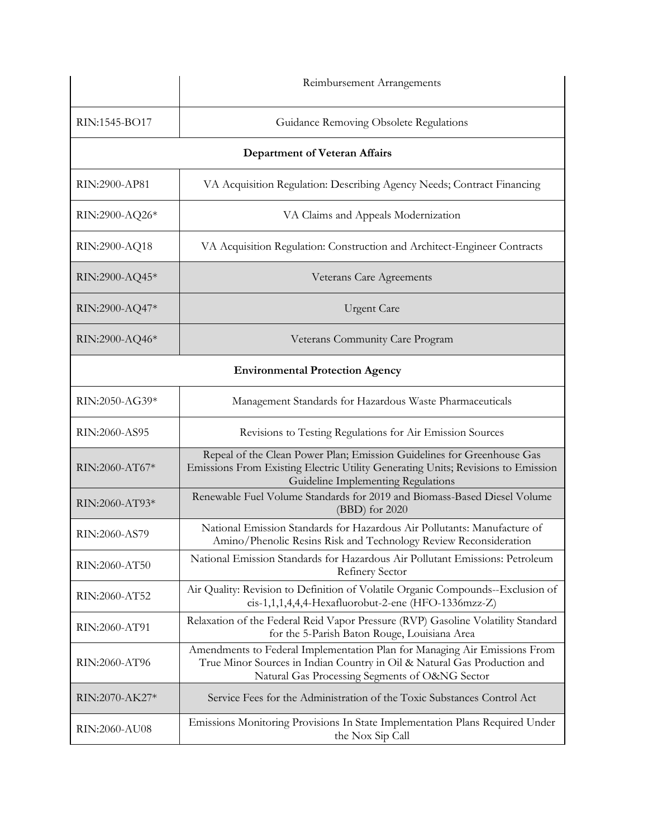|                                        | Reimbursement Arrangements                                                                                                                                                                              |
|----------------------------------------|---------------------------------------------------------------------------------------------------------------------------------------------------------------------------------------------------------|
| RIN:1545-BO17                          | Guidance Removing Obsolete Regulations                                                                                                                                                                  |
|                                        | <b>Department of Veteran Affairs</b>                                                                                                                                                                    |
| RIN:2900-AP81                          | VA Acquisition Regulation: Describing Agency Needs; Contract Financing                                                                                                                                  |
| RIN:2900-AQ26*                         | VA Claims and Appeals Modernization                                                                                                                                                                     |
| RIN:2900-AQ18                          | VA Acquisition Regulation: Construction and Architect-Engineer Contracts                                                                                                                                |
| RIN:2900-AQ45*                         | Veterans Care Agreements                                                                                                                                                                                |
| RIN:2900-AQ47*                         | <b>Urgent Care</b>                                                                                                                                                                                      |
| RIN:2900-AQ46*                         | Veterans Community Care Program                                                                                                                                                                         |
| <b>Environmental Protection Agency</b> |                                                                                                                                                                                                         |
| RIN:2050-AG39*                         | Management Standards for Hazardous Waste Pharmaceuticals                                                                                                                                                |
| RIN:2060-AS95                          | Revisions to Testing Regulations for Air Emission Sources                                                                                                                                               |
| RIN:2060-AT67*                         | Repeal of the Clean Power Plan; Emission Guidelines for Greenhouse Gas<br>Emissions From Existing Electric Utility Generating Units; Revisions to Emission<br>Guideline Implementing Regulations        |
| RIN:2060-AT93*                         | Renewable Fuel Volume Standards for 2019 and Biomass-Based Diesel Volume<br>(BBD) for 2020                                                                                                              |
| RIN:2060-AS79                          | National Emission Standards for Hazardous Air Pollutants: Manufacture of<br>Amino/Phenolic Resins Risk and Technology Review Reconsideration                                                            |
| RIN:2060-AT50                          | National Emission Standards for Hazardous Air Pollutant Emissions: Petroleum<br>Refinery Sector                                                                                                         |
| RIN:2060-AT52                          | Air Quality: Revision to Definition of Volatile Organic Compounds--Exclusion of<br>cis-1,1,1,4,4,4-Hexafluorobut-2-ene (HFO-1336mzz-Z)                                                                  |
| RIN:2060-AT91                          | Relaxation of the Federal Reid Vapor Pressure (RVP) Gasoline Volatility Standard<br>for the 5-Parish Baton Rouge, Louisiana Area                                                                        |
| RIN:2060-AT96                          | Amendments to Federal Implementation Plan for Managing Air Emissions From<br>True Minor Sources in Indian Country in Oil & Natural Gas Production and<br>Natural Gas Processing Segments of O&NG Sector |
| RIN:2070-AK27*                         | Service Fees for the Administration of the Toxic Substances Control Act                                                                                                                                 |
| RIN:2060-AU08                          | Emissions Monitoring Provisions In State Implementation Plans Required Under<br>the Nox Sip Call                                                                                                        |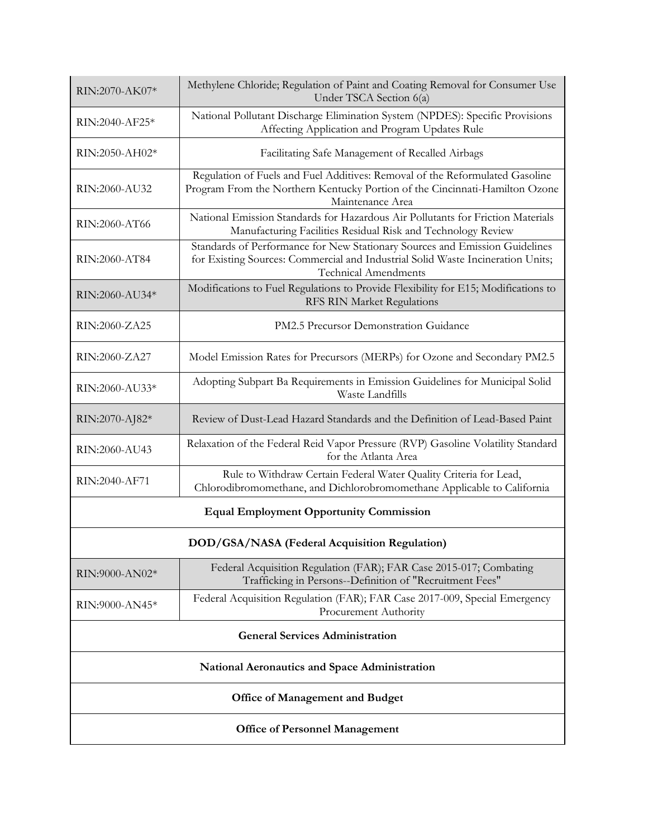| RIN:2070-AK07*                                 | Methylene Chloride; Regulation of Paint and Coating Removal for Consumer Use<br>Under TSCA Section 6(a)                                                                                       |
|------------------------------------------------|-----------------------------------------------------------------------------------------------------------------------------------------------------------------------------------------------|
| RIN:2040-AF25*                                 | National Pollutant Discharge Elimination System (NPDES): Specific Provisions<br>Affecting Application and Program Updates Rule                                                                |
| RIN:2050-AH02*                                 | Facilitating Safe Management of Recalled Airbags                                                                                                                                              |
| RIN:2060-AU32                                  | Regulation of Fuels and Fuel Additives: Removal of the Reformulated Gasoline<br>Program From the Northern Kentucky Portion of the Cincinnati-Hamilton Ozone<br>Maintenance Area               |
| RIN:2060-AT66                                  | National Emission Standards for Hazardous Air Pollutants for Friction Materials<br>Manufacturing Facilities Residual Risk and Technology Review                                               |
| RIN:2060-AT84                                  | Standards of Performance for New Stationary Sources and Emission Guidelines<br>for Existing Sources: Commercial and Industrial Solid Waste Incineration Units;<br><b>Technical Amendments</b> |
| RIN:2060-AU34*                                 | Modifications to Fuel Regulations to Provide Flexibility for E15; Modifications to<br>RFS RIN Market Regulations                                                                              |
| RIN:2060-ZA25                                  | PM2.5 Precursor Demonstration Guidance                                                                                                                                                        |
| RIN:2060-ZA27                                  | Model Emission Rates for Precursors (MERPs) for Ozone and Secondary PM2.5                                                                                                                     |
| RIN:2060-AU33*                                 | Adopting Subpart Ba Requirements in Emission Guidelines for Municipal Solid<br>Waste Landfills                                                                                                |
| RIN:2070-AJ82*                                 | Review of Dust-Lead Hazard Standards and the Definition of Lead-Based Paint                                                                                                                   |
| RIN:2060-AU43                                  | Relaxation of the Federal Reid Vapor Pressure (RVP) Gasoline Volatility Standard<br>for the Atlanta Area                                                                                      |
| RIN:2040-AF71                                  | Rule to Withdraw Certain Federal Water Quality Criteria for Lead,<br>Chlorodibromomethane, and Dichlorobromomethane Applicable to California                                                  |
| <b>Equal Employment Opportunity Commission</b> |                                                                                                                                                                                               |
| DOD/GSA/NASA (Federal Acquisition Regulation)  |                                                                                                                                                                                               |
| RIN:9000-AN02*                                 | Federal Acquisition Regulation (FAR); FAR Case 2015-017; Combating<br>Trafficking in Persons--Definition of "Recruitment Fees"                                                                |
| RIN:9000-AN45*                                 | Federal Acquisition Regulation (FAR); FAR Case 2017-009, Special Emergency<br>Procurement Authority                                                                                           |
| <b>General Services Administration</b>         |                                                                                                                                                                                               |
| National Aeronautics and Space Administration  |                                                                                                                                                                                               |
| <b>Office of Management and Budget</b>         |                                                                                                                                                                                               |
| <b>Office of Personnel Management</b>          |                                                                                                                                                                                               |